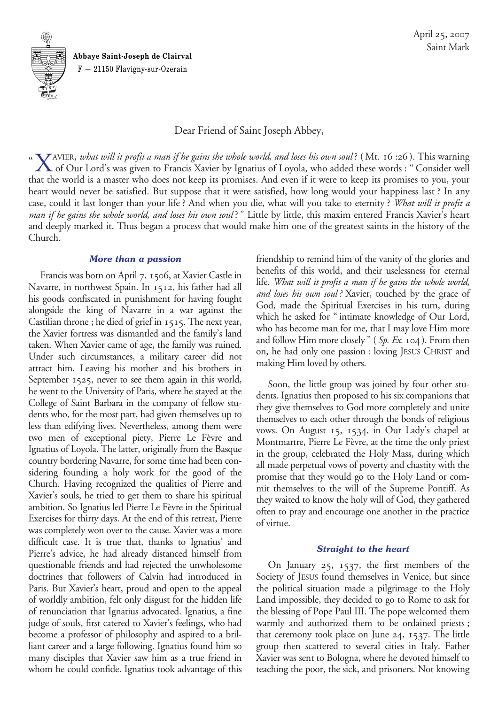**Abbaye Saint-Joseph de Clairval** F — 21150 Flavigny-sur-Ozerain

-

**<sup>S</sup> <sup>I</sup> <sup>N</sup> <sup>T</sup>**

**M**

-

 $\frac{U N \ddot{U} M}{Q}$ 

Dear Friend of Saint Joseph Abbey,

"XAVIER, *what will it profit a man if he gains the whole world, and loses his own soul*? (Mt. 16:26). This warning<br>Of Our Lord's was given to Francis Xavier by Ignatius of Loyola, who added these words: "Consider well that the world is a master who does not keep its promises. And even if it were to keep its promises to you, your heart would never be satisfied. But suppose that it were satisfied, how long would your happiness last? In any case, could it last longer than your life? And when you die, what will you take to eternity? *What will it profit a man if he gains the whole world, and loses his own soul*?" Little by little, this maxim entered Francis Xavier's heart and deeply marked it. Thus began a process that would make him one of the greatest saints in the history of the Church.

#### *More than a passion*

Francis was born on April 7, 1506, at Xavier Castle in Navarre, in northwest Spain. In 1512, his father had all his goods confiscated in punishment for having fought alongside the king of Navarre in a war against the Castilian throne; he died of grief in 1515. The next year, the Xavier fortress was dismantled and the family's land taken. When Xavier came of age, the family was ruined. Under such circumstances, a military career did not attract him. Leaving his mother and his brothers in September 1525, never to see them again in this world, he went to the University of Paris, where he stayed at the College of Saint Barbara in the company of fellow students who, for the most part, had given themselves up to less than edifying lives. Nevertheless, among them were two men of exceptional piety, Pierre Le Fèvre and Ignatius of Loyola. The latter, originally from the Basque country bordering Navarre, for some time had been considering founding a holy work for the good of the Church. Having recognized the qualities of Pierre and Xavier's souls, he tried to get them to share his spiritual ambition. So Ignatius led Pierre Le Fèvre in the Spiritual Exercises for thirty days. At the end of this retreat, Pierre was completely won over to the cause. Xavier was a more difficult case. It is true that, thanks to Ignatius' and Pierre's advice, he had already distanced himself from questionable friends and had rejected the unwholesome doctrines that followers of Calvin had introduced in Paris. But Xavier's heart, proud and open to the appeal of worldly ambition, felt only disgust for the hidden life of renunciation that Ignatius advocated. Ignatius, a fine judge of souls, first catered to Xavier's feelings, who had become a professor of philosophy and aspired to a brilliant career and a large following. Ignatius found him so many disciples that Xavier saw him as a true friend in whom he could confide. Ignatius took advantage of this

friendship to remind him of the vanity of the glories and benefits of this world, and their uselessness for eternal life. *What will it profit a man if he gains the whole world, and loses his own soul?* Xavier, touched by the grace of God, made the Spiritual Exercises in his turn, during which he asked for "intimate knowledge of Our Lord, who has become man for me, that I may love Him more and follow Him more closely" (*Sp. Ex.* 104). From then on, he had only one passion: loving JESUS CHRIST and making Him loved by others.

Soon, the little group was joined by four other students. Ignatius then proposed to his six companions that they give themselves to God more completely and unite themselves to each other through the bonds of religious vows. On August 15, 1534, in Our Lady's chapel at Montmartre, Pierre Le Fèvre, at the time the only priest in the group, celebrated the Holy Mass, during which all made perpetual vows of poverty and chastity with the promise that they would go to the Holy Land or commit themselves to the will of the Supreme Pontiff. As they waited to know the holy will of God, they gathered often to pray and encourage one another in the practice of virtue.

## *Straight to the heart*

On January 25, 1537, the first members of the Society of JESUS found themselves in Venice, but since the political situation made a pilgrimage to the Holy Land impossible, they decided to go to Rome to ask for the blessing of Pope Paul III. The pope welcomed them warmly and authorized them to be ordained priests; that ceremony took place on June 24, 1537. The little group then scattered to several cities in Italy. Father Xavier was sent to Bologna, where he devoted himself to teaching the poor, the sick, and prisoners. Not knowing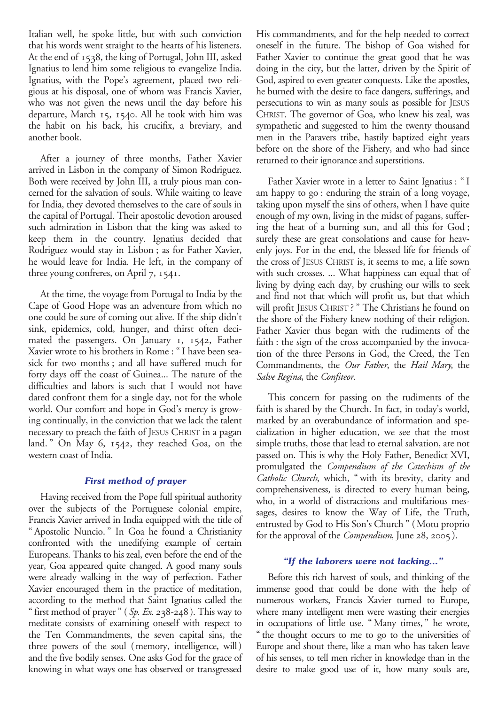Italian well, he spoke little, but with such conviction that his words went straight to the hearts of his listeners. At the end of 1538, the king of Portugal, John III, asked Ignatius to lend him some religious to evangelize India. Ignatius, with the Pope's agreement, placed two religious at his disposal, one of whom was Francis Xavier, who was not given the news until the day before his departure, March 15, 1540. All he took with him was the habit on his back, his crucifix, a breviary, and another book.

After a journey of three months, Father Xavier arrived in Lisbon in the company of Simon Rodriguez. Both were received by John III, a truly pious man concerned for the salvation of souls. While waiting to leave for India, they devoted themselves to the care of souls in the capital of Portugal. Their apostolic devotion aroused such admiration in Lisbon that the king was asked to keep them in the country. Ignatius decided that Rodriguez would stay in Lisbon; as for Father Xavier, he would leave for India. He left, in the company of three young confreres, on April 7, 1541.

At the time, the voyage from Portugal to India by the Cape of Good Hope was an adventure from which no one could be sure of coming out alive. If the ship didn't sink, epidemics, cold, hunger, and thirst often decimated the passengers. On January 1, 1542, Father Xavier wrote to his brothers in Rome: "I have been seasick for two months; and all have suffered much for forty days off the coast of Guinea... The nature of the difficulties and labors is such that I would not have dared confront them for a single day, not for the whole world. Our comfort and hope in God's mercy is growing continually, in the conviction that we lack the talent necessary to preach the faith of JESUS CHRIST in a pagan land." On May 6, 1542, they reached Goa, on the western coast of India.

# *First method of prayer*

Having received from the Pope full spiritual authority over the subjects of the Portuguese colonial empire, Francis Xavier arrived in India equipped with the title of "Apostolic Nuncio." In Goa he found a Christianity confronted with the unedifying example of certain Europeans. Thanks to his zeal, even before the end of the year, Goa appeared quite changed. A good many souls were already walking in the way of perfection. Father Xavier encouraged them in the practice of meditation, according to the method that Saint Ignatius called the "first method of prayer" (*Sp. Ex.* 238-248). This way to meditate consists of examining oneself with respect to the Ten Commandments, the seven capital sins, the three powers of the soul (memory, intelligence, will) and the five bodily senses. One asks God for the grace of knowing in what ways one has observed or transgressed His commandments, and for the help needed to correct oneself in the future. The bishop of Goa wished for Father Xavier to continue the great good that he was doing in the city, but the latter, driven by the Spirit of God, aspired to even greater conquests. Like the apostles, he burned with the desire to face dangers, sufferings, and persecutions to win as many souls as possible for JESUS CHRIST. The governor of Goa, who knew his zeal, was sympathetic and suggested to him the twenty thousand men in the Paravers tribe, hastily baptized eight years before on the shore of the Fishery, and who had since returned to their ignorance and superstitions.

Father Xavier wrote in a letter to Saint Ignatius: "I am happy to go: enduring the strain of a long voyage, taking upon myself the sins of others, when I have quite enough of my own, living in the midst of pagans, suffering the heat of a burning sun, and all this for God; surely these are great consolations and cause for heavenly joys. For in the end, the blessed life for friends of the cross of JESUS CHRIST is, it seems to me, a life sown with such crosses. ... What happiness can equal that of living by dying each day, by crushing our wills to seek and find not that which will profit us, but that which will profit JESUS CHRIST?" The Christians he found on the shore of the Fishery knew nothing of their religion. Father Xavier thus began with the rudiments of the faith : the sign of the cross accompanied by the invocation of the three Persons in God, the Creed, the Ten Commandments, the *Our Father*, the *Hail Mary*, the *Salve Regina*, the *Confiteor*.

This concern for passing on the rudiments of the faith is shared by the Church. In fact, in today's world, marked by an overabundance of information and specialization in higher education, we see that the most simple truths, those that lead to eternal salvation, are not passed on. This is why the Holy Father, Benedict XVI, promulgated the *Compendium of the Catechism of the Catholic Church*, which, "with its brevity, clarity and comprehensiveness, is directed to every human being, who, in a world of distractions and multifarious messages, desires to know the Way of Life, the Truth, entrusted by God to His Son's Church" (Motu proprio for the approval of the *Compendium*, June 28, 2005).

# *"If the laborers were not lacking..."*

Before this rich harvest of souls, and thinking of the immense good that could be done with the help of numerous workers, Francis Xavier turned to Europe, where many intelligent men were wasting their energies in occupations of little use. "Many times," he wrote, "the thought occurs to me to go to the universities of Europe and shout there, like a man who has taken leave of his senses, to tell men richer in knowledge than in the desire to make good use of it, how many souls are,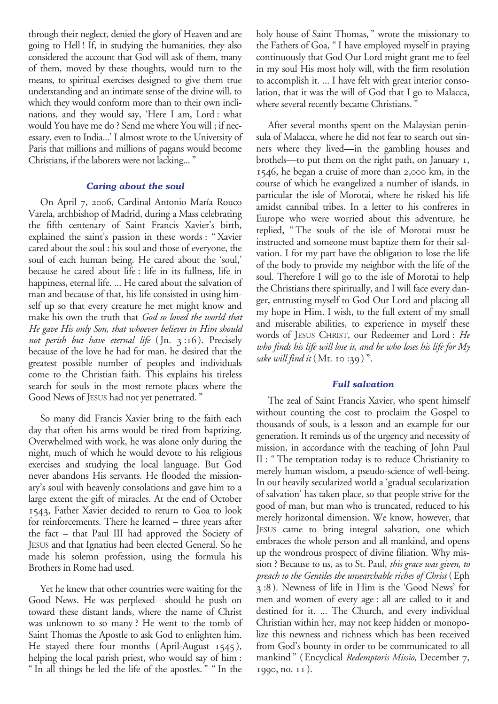through their neglect, denied the glory of Heaven and are going to Hell! If, in studying the humanities, they also considered the account that God will ask of them, many of them, moved by these thoughts, would turn to the means, to spiritual exercises designed to give them true understanding and an intimate sense of the divine will, to which they would conform more than to their own inclinations, and they would say, 'Here I am, Lord: what would You have me do? Send me where You will; if necessary, even to India...' I almost wrote to the University of Paris that millions and millions of pagans would become Christians, if the laborers were not lacking..."

## *Caring about the soul*

On April 7, 2006, Cardinal Antonio María Rouco Varela, archbishop of Madrid, during a Mass celebrating the fifth centenary of Saint Francis Xavier's birth, explained the saint's passion in these words: "Xavier cared about the soul: his soul and those of everyone, the soul of each human being. He cared about the 'soul,' because he cared about life: life in its fullness, life in happiness, eternal life. ... He cared about the salvation of man and because of that, his life consisted in using himself up so that every creature he met might know and make his own the truth that *God so loved the world that He gave His only Son, that whoever believes in Him should not perish but have eternal life* (Jn. 3:16). Precisely because of the love he had for man, he desired that the greatest possible number of peoples and individuals come to the Christian faith. This explains his tireless search for souls in the most remote places where the Good News of JESUS had not yet penetrated."

So many did Francis Xavier bring to the faith each day that often his arms would be tired from baptizing. Overwhelmed with work, he was alone only during the night, much of which he would devote to his religious exercises and studying the local language. But God never abandons His servants. He flooded the missionary's soul with heavenly consolations and gave him to a large extent the gift of miracles. At the end of October 1543, Father Xavier decided to return to Goa to look for reinforcements. There he learned – three years after the fact – that Paul III had approved the Society of JESUS and that Ignatius had been elected General. So he made his solemn profession, using the formula his Brothers in Rome had used.

Yet he knew that other countries were waiting for the Good News. He was perplexed—should he push on toward these distant lands, where the name of Christ was unknown to so many? He went to the tomb of Saint Thomas the Apostle to ask God to enlighten him. He stayed there four months (April-August 1545), helping the local parish priest, who would say of him: "In all things he led the life of the apostles." "In the

holy house of Saint Thomas," wrote the missionary to the Fathers of Goa, "I have employed myself in praying continuously that God Our Lord might grant me to feel in my soul His most holy will, with the firm resolution to accomplish it. ... I have felt with great interior consolation, that it was the will of God that I go to Malacca, where several recently became Christians."

After several months spent on the Malaysian peninsula of Malacca, where he did not fear to search out sinners where they lived—in the gambling houses and brothels—to put them on the right path, on January 1, 1546, he began a cruise of more than 2,000 km, in the course of which he evangelized a number of islands, in particular the isle of Morotai, where he risked his life amidst cannibal tribes. In a letter to his confreres in Europe who were worried about this adventure, he replied, "The souls of the isle of Morotai must be instructed and someone must baptize them for their salvation. I for my part have the obligation to lose the life of the body to provide my neighbor with the life of the soul. Therefore I will go to the isle of Morotai to help the Christians there spiritually, and I will face every danger, entrusting myself to God Our Lord and placing all my hope in Him. I wish, to the full extent of my small and miserable abilities, to experience in myself these words of JESUS CHRIST, our Redeemer and Lord: *He who finds his life will lose it, and he who loses his life for My sake will find it* (Mt. 10:39)".

#### *Full salvation*

The zeal of Saint Francis Xavier, who spent himself without counting the cost to proclaim the Gospel to thousands of souls, is a lesson and an example for our generation. It reminds us of the urgency and necessity of mission, in accordance with the teaching of John Paul II: "The temptation today is to reduce Christianity to merely human wisdom, a pseudo-science of well-being. In our heavily secularized world a 'gradual secularization of salvation' has taken place, so that people strive for the good of man, but man who is truncated, reduced to his merely horizontal dimension. We know, however, that JESUS came to bring integral salvation, one which embraces the whole person and all mankind, and opens up the wondrous prospect of divine filiation. Why mission? Because to us, as to St. Paul, *this grace was given, to preach to the Gentiles the unsearchable riches of Christ* (Eph 3:8). Newness of life in Him is the 'Good News' for men and women of every age: all are called to it and destined for it. ... The Church, and every individual Christian within her, may not keep hidden or monopolize this newness and richness which has been received from God's bounty in order to be communicated to all mankind" (Encyclical *Redemptoris Missio*, December 7, 1990, no. 11).